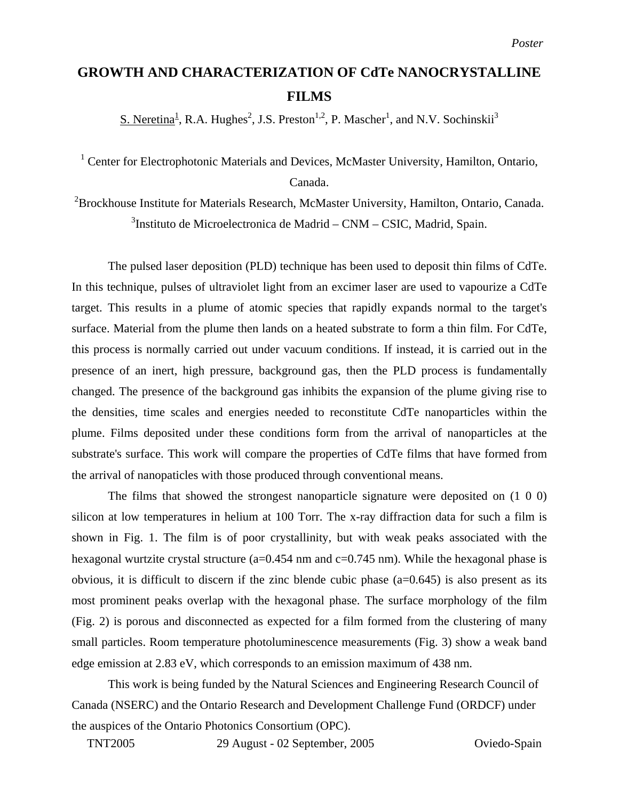## **GROWTH AND CHARACTERIZATION OF CdTe NANOCRYSTALLINE FILMS**

S. Neretina<sup>1</sup>, R.A. Hughes<sup>2</sup>, J.S. Preston<sup>1,2</sup>, P. Mascher<sup>1</sup>, and N.V. Sochinskii<sup>3</sup>

<sup>1</sup> Center for Electrophotonic Materials and Devices, McMaster University, Hamilton, Ontario, Canada.

 ${}^{2}$ Brockhouse Institute for Materials Research, McMaster University, Hamilton, Ontario, Canada. <sup>3</sup>Instituto de Microelectronica de Madrid – CNM – CSIC, Madrid, Spain.

The pulsed laser deposition (PLD) technique has been used to deposit thin films of CdTe. In this technique, pulses of ultraviolet light from an excimer laser are used to vapourize a CdTe target. This results in a plume of atomic species that rapidly expands normal to the target's surface. Material from the plume then lands on a heated substrate to form a thin film. For CdTe, this process is normally carried out under vacuum conditions. If instead, it is carried out in the presence of an inert, high pressure, background gas, then the PLD process is fundamentally changed. The presence of the background gas inhibits the expansion of the plume giving rise to the densities, time scales and energies needed to reconstitute CdTe nanoparticles within the plume. Films deposited under these conditions form from the arrival of nanoparticles at the substrate's surface. This work will compare the properties of CdTe films that have formed from the arrival of nanopaticles with those produced through conventional means.

The films that showed the strongest nanoparticle signature were deposited on (1 0 0) silicon at low temperatures in helium at 100 Torr. The x-ray diffraction data for such a film is shown in Fig. 1. The film is of poor crystallinity, but with weak peaks associated with the hexagonal wurtzite crystal structure (a=0.454 nm and c=0.745 nm). While the hexagonal phase is obvious, it is difficult to discern if the zinc blende cubic phase (a=0.645) is also present as its most prominent peaks overlap with the hexagonal phase. The surface morphology of the film (Fig. 2) is porous and disconnected as expected for a film formed from the clustering of many small particles. Room temperature photoluminescence measurements (Fig. 3) show a weak band edge emission at 2.83 eV, which corresponds to an emission maximum of 438 nm.

This work is being funded by the Natural Sciences and Engineering Research Council of Canada (NSERC) and the Ontario Research and Development Challenge Fund (ORDCF) under the auspices of the Ontario Photonics Consortium (OPC).

TNT2005 29 August - 02 September, 2005 Oviedo-Spain